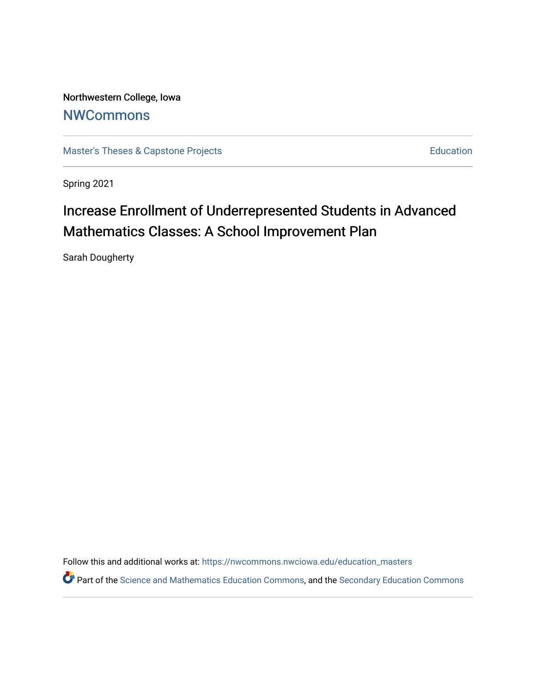Northwestern College, Iowa **[NWCommons](https://nwcommons.nwciowa.edu/)** 

[Master's Theses & Capstone Projects](https://nwcommons.nwciowa.edu/education_masters) **Education** Education

Spring 2021

# Increase Enrollment of Underrepresented Students in Advanced Mathematics Classes: A School Improvement Plan

Sarah Dougherty

Follow this and additional works at: [https://nwcommons.nwciowa.edu/education\\_masters](https://nwcommons.nwciowa.edu/education_masters?utm_source=nwcommons.nwciowa.edu%2Feducation_masters%2F276&utm_medium=PDF&utm_campaign=PDFCoverPages)

Part of the [Science and Mathematics Education Commons,](http://network.bepress.com/hgg/discipline/800?utm_source=nwcommons.nwciowa.edu%2Feducation_masters%2F276&utm_medium=PDF&utm_campaign=PDFCoverPages) and the Secondary Education Commons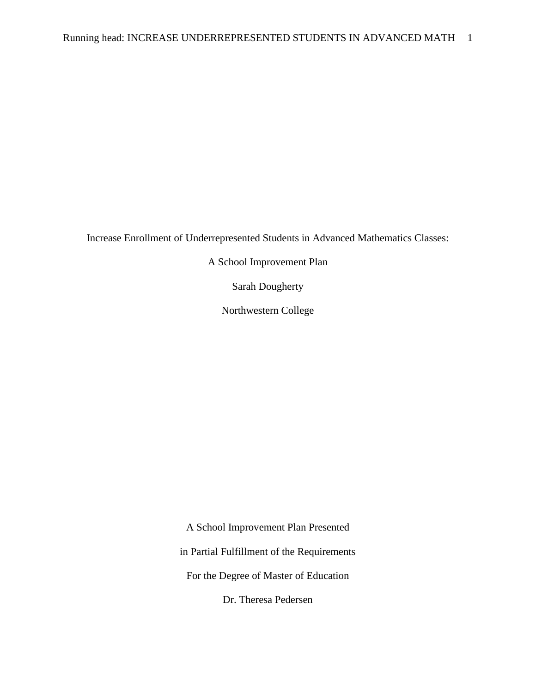Increase Enrollment of Underrepresented Students in Advanced Mathematics Classes:

A School Improvement Plan

Sarah Dougherty

Northwestern College

A School Improvement Plan Presented in Partial Fulfillment of the Requirements For the Degree of Master of Education Dr. Theresa Pedersen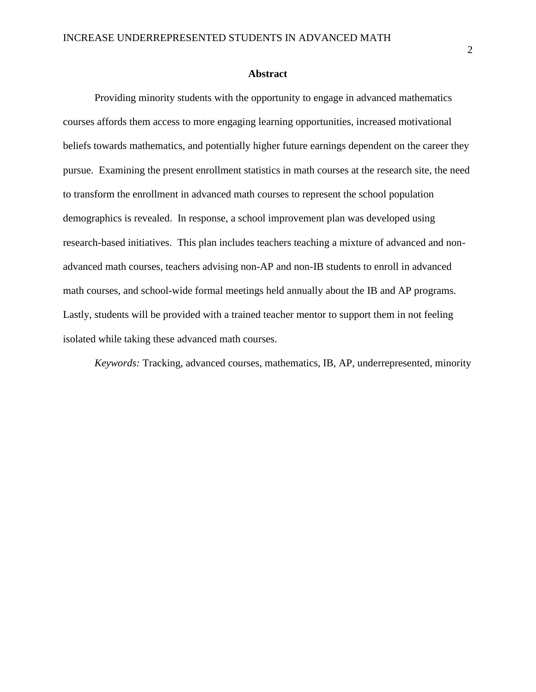### **Abstract**

Providing minority students with the opportunity to engage in advanced mathematics courses affords them access to more engaging learning opportunities, increased motivational beliefs towards mathematics, and potentially higher future earnings dependent on the career they pursue. Examining the present enrollment statistics in math courses at the research site, the need to transform the enrollment in advanced math courses to represent the school population demographics is revealed. In response, a school improvement plan was developed using research-based initiatives. This plan includes teachers teaching a mixture of advanced and nonadvanced math courses, teachers advising non-AP and non-IB students to enroll in advanced math courses, and school-wide formal meetings held annually about the IB and AP programs. Lastly, students will be provided with a trained teacher mentor to support them in not feeling isolated while taking these advanced math courses.

*Keywords:* Tracking, advanced courses, mathematics, IB, AP, underrepresented, minority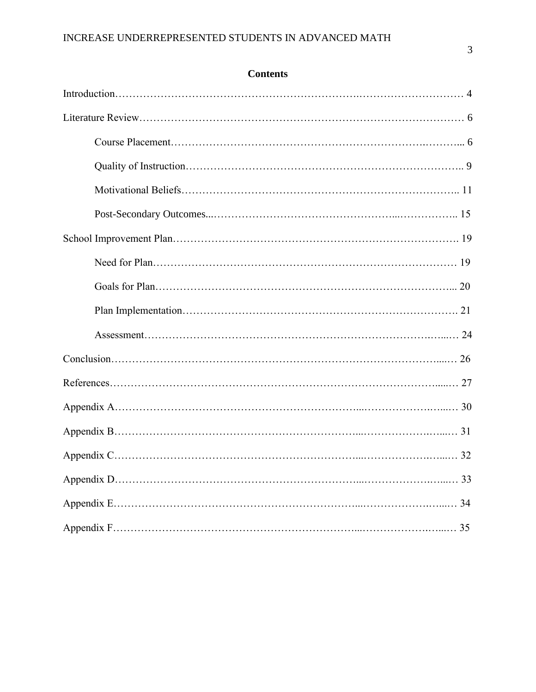## **Contents**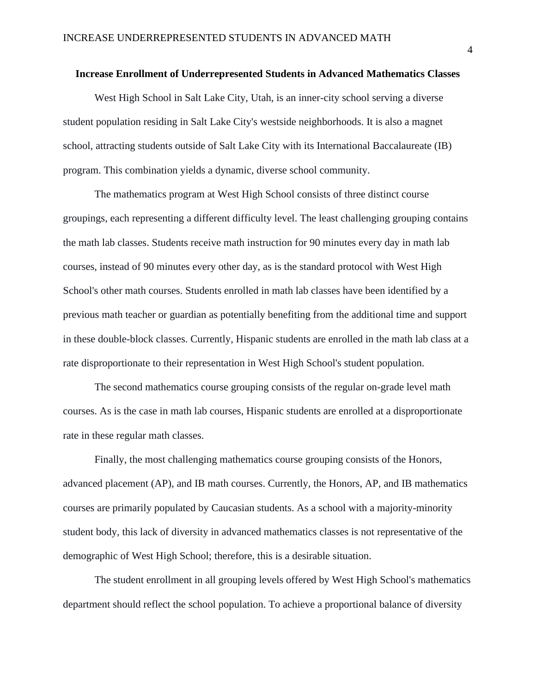## **Increase Enrollment of Underrepresented Students in Advanced Mathematics Classes**

West High School in Salt Lake City, Utah, is an inner-city school serving a diverse student population residing in Salt Lake City's westside neighborhoods. It is also a magnet school, attracting students outside of Salt Lake City with its International Baccalaureate (IB) program. This combination yields a dynamic, diverse school community.

The mathematics program at West High School consists of three distinct course groupings, each representing a different difficulty level. The least challenging grouping contains the math lab classes. Students receive math instruction for 90 minutes every day in math lab courses, instead of 90 minutes every other day, as is the standard protocol with West High School's other math courses. Students enrolled in math lab classes have been identified by a previous math teacher or guardian as potentially benefiting from the additional time and support in these double-block classes. Currently, Hispanic students are enrolled in the math lab class at a rate disproportionate to their representation in West High School's student population.

The second mathematics course grouping consists of the regular on-grade level math courses. As is the case in math lab courses, Hispanic students are enrolled at a disproportionate rate in these regular math classes.

Finally, the most challenging mathematics course grouping consists of the Honors, advanced placement (AP), and IB math courses. Currently, the Honors, AP, and IB mathematics courses are primarily populated by Caucasian students. As a school with a majority-minority student body, this lack of diversity in advanced mathematics classes is not representative of the demographic of West High School; therefore, this is a desirable situation.

The student enrollment in all grouping levels offered by West High School's mathematics department should reflect the school population. To achieve a proportional balance of diversity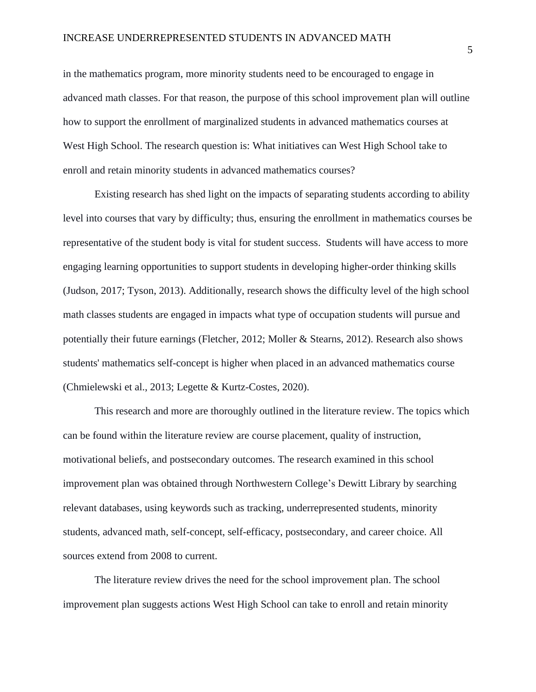in the mathematics program, more minority students need to be encouraged to engage in advanced math classes. For that reason, the purpose of this school improvement plan will outline how to support the enrollment of marginalized students in advanced mathematics courses at West High School. The research question is: What initiatives can West High School take to enroll and retain minority students in advanced mathematics courses?

Existing research has shed light on the impacts of separating students according to ability level into courses that vary by difficulty; thus, ensuring the enrollment in mathematics courses be representative of the student body is vital for student success. Students will have access to more engaging learning opportunities to support students in developing higher-order thinking skills (Judson, 2017; Tyson, 2013). Additionally, research shows the difficulty level of the high school math classes students are engaged in impacts what type of occupation students will pursue and potentially their future earnings (Fletcher, 2012; Moller & Stearns, 2012). Research also shows students' mathematics self-concept is higher when placed in an advanced mathematics course (Chmielewski et al., 2013; Legette & Kurtz-Costes, 2020).

This research and more are thoroughly outlined in the literature review. The topics which can be found within the literature review are course placement, quality of instruction, motivational beliefs, and postsecondary outcomes. The research examined in this school improvement plan was obtained through Northwestern College's Dewitt Library by searching relevant databases, using keywords such as tracking, underrepresented students, minority students, advanced math, self-concept, self-efficacy, postsecondary, and career choice. All sources extend from 2008 to current.

The literature review drives the need for the school improvement plan. The school improvement plan suggests actions West High School can take to enroll and retain minority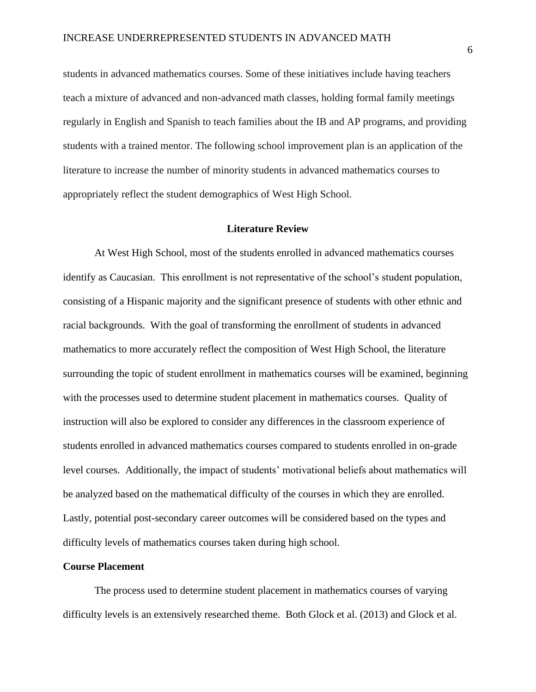students in advanced mathematics courses. Some of these initiatives include having teachers teach a mixture of advanced and non-advanced math classes, holding formal family meetings regularly in English and Spanish to teach families about the IB and AP programs, and providing students with a trained mentor. The following school improvement plan is an application of the literature to increase the number of minority students in advanced mathematics courses to appropriately reflect the student demographics of West High School.

### **Literature Review**

At West High School, most of the students enrolled in advanced mathematics courses identify as Caucasian. This enrollment is not representative of the school's student population, consisting of a Hispanic majority and the significant presence of students with other ethnic and racial backgrounds. With the goal of transforming the enrollment of students in advanced mathematics to more accurately reflect the composition of West High School, the literature surrounding the topic of student enrollment in mathematics courses will be examined, beginning with the processes used to determine student placement in mathematics courses. Quality of instruction will also be explored to consider any differences in the classroom experience of students enrolled in advanced mathematics courses compared to students enrolled in on-grade level courses. Additionally, the impact of students' motivational beliefs about mathematics will be analyzed based on the mathematical difficulty of the courses in which they are enrolled. Lastly, potential post-secondary career outcomes will be considered based on the types and difficulty levels of mathematics courses taken during high school.

## **Course Placement**

The process used to determine student placement in mathematics courses of varying difficulty levels is an extensively researched theme. Both Glock et al. (2013) and Glock et al.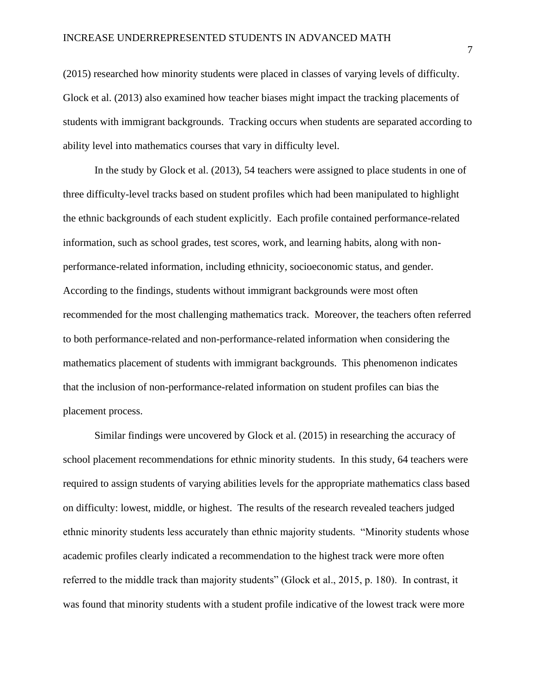(2015) researched how minority students were placed in classes of varying levels of difficulty. Glock et al. (2013) also examined how teacher biases might impact the tracking placements of students with immigrant backgrounds. Tracking occurs when students are separated according to ability level into mathematics courses that vary in difficulty level.

In the study by Glock et al. (2013), 54 teachers were assigned to place students in one of three difficulty-level tracks based on student profiles which had been manipulated to highlight the ethnic backgrounds of each student explicitly. Each profile contained performance-related information, such as school grades, test scores, work, and learning habits, along with nonperformance-related information, including ethnicity, socioeconomic status, and gender. According to the findings, students without immigrant backgrounds were most often recommended for the most challenging mathematics track. Moreover, the teachers often referred to both performance-related and non-performance-related information when considering the mathematics placement of students with immigrant backgrounds. This phenomenon indicates that the inclusion of non-performance-related information on student profiles can bias the placement process.

Similar findings were uncovered by Glock et al. (2015) in researching the accuracy of school placement recommendations for ethnic minority students. In this study, 64 teachers were required to assign students of varying abilities levels for the appropriate mathematics class based on difficulty: lowest, middle, or highest. The results of the research revealed teachers judged ethnic minority students less accurately than ethnic majority students. "Minority students whose academic profiles clearly indicated a recommendation to the highest track were more often referred to the middle track than majority students" (Glock et al., 2015, p. 180). In contrast, it was found that minority students with a student profile indicative of the lowest track were more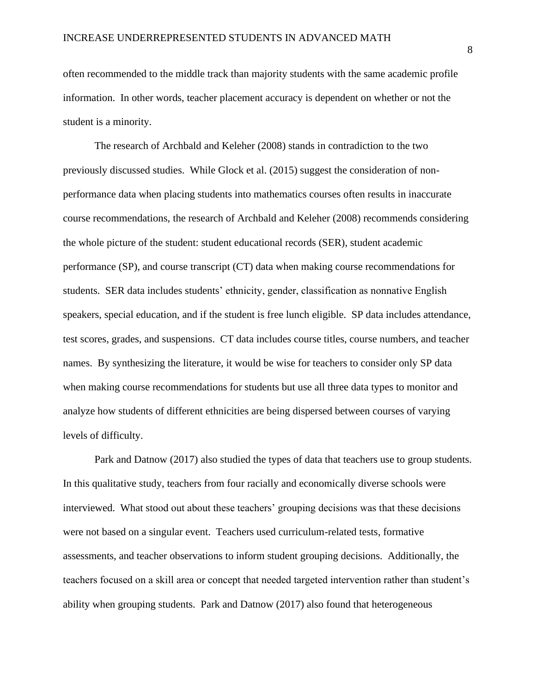often recommended to the middle track than majority students with the same academic profile information. In other words, teacher placement accuracy is dependent on whether or not the student is a minority.

The research of Archbald and Keleher (2008) stands in contradiction to the two previously discussed studies. While Glock et al. (2015) suggest the consideration of nonperformance data when placing students into mathematics courses often results in inaccurate course recommendations, the research of Archbald and Keleher (2008) recommends considering the whole picture of the student: student educational records (SER), student academic performance (SP), and course transcript (CT) data when making course recommendations for students. SER data includes students' ethnicity, gender, classification as nonnative English speakers, special education, and if the student is free lunch eligible. SP data includes attendance, test scores, grades, and suspensions. CT data includes course titles, course numbers, and teacher names. By synthesizing the literature, it would be wise for teachers to consider only SP data when making course recommendations for students but use all three data types to monitor and analyze how students of different ethnicities are being dispersed between courses of varying levels of difficulty.

Park and Datnow (2017) also studied the types of data that teachers use to group students. In this qualitative study, teachers from four racially and economically diverse schools were interviewed. What stood out about these teachers' grouping decisions was that these decisions were not based on a singular event. Teachers used curriculum-related tests, formative assessments, and teacher observations to inform student grouping decisions. Additionally, the teachers focused on a skill area or concept that needed targeted intervention rather than student's ability when grouping students. Park and Datnow (2017) also found that heterogeneous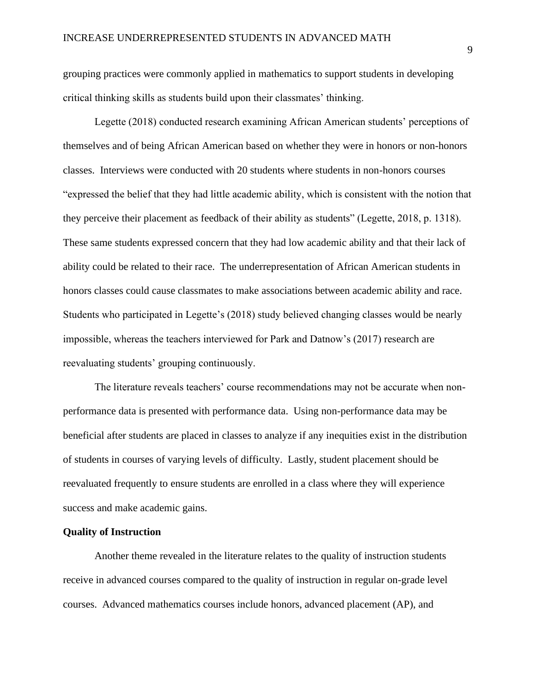grouping practices were commonly applied in mathematics to support students in developing critical thinking skills as students build upon their classmates' thinking.

Legette (2018) conducted research examining African American students' perceptions of themselves and of being African American based on whether they were in honors or non-honors classes. Interviews were conducted with 20 students where students in non-honors courses "expressed the belief that they had little academic ability, which is consistent with the notion that they perceive their placement as feedback of their ability as students" (Legette, 2018, p. 1318). These same students expressed concern that they had low academic ability and that their lack of ability could be related to their race. The underrepresentation of African American students in honors classes could cause classmates to make associations between academic ability and race. Students who participated in Legette's (2018) study believed changing classes would be nearly impossible, whereas the teachers interviewed for Park and Datnow's (2017) research are reevaluating students' grouping continuously.

The literature reveals teachers' course recommendations may not be accurate when nonperformance data is presented with performance data. Using non-performance data may be beneficial after students are placed in classes to analyze if any inequities exist in the distribution of students in courses of varying levels of difficulty. Lastly, student placement should be reevaluated frequently to ensure students are enrolled in a class where they will experience success and make academic gains.

## **Quality of Instruction**

Another theme revealed in the literature relates to the quality of instruction students receive in advanced courses compared to the quality of instruction in regular on-grade level courses. Advanced mathematics courses include honors, advanced placement (AP), and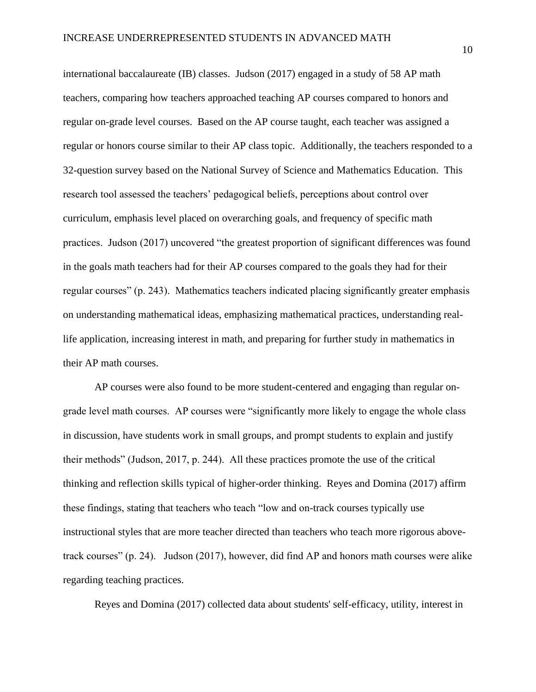international baccalaureate (IB) classes. Judson (2017) engaged in a study of 58 AP math teachers, comparing how teachers approached teaching AP courses compared to honors and regular on-grade level courses. Based on the AP course taught, each teacher was assigned a regular or honors course similar to their AP class topic. Additionally, the teachers responded to a 32-question survey based on the National Survey of Science and Mathematics Education. This research tool assessed the teachers' pedagogical beliefs, perceptions about control over curriculum, emphasis level placed on overarching goals, and frequency of specific math practices. Judson (2017) uncovered "the greatest proportion of significant differences was found in the goals math teachers had for their AP courses compared to the goals they had for their regular courses" (p. 243). Mathematics teachers indicated placing significantly greater emphasis on understanding mathematical ideas, emphasizing mathematical practices, understanding reallife application, increasing interest in math, and preparing for further study in mathematics in their AP math courses.

AP courses were also found to be more student-centered and engaging than regular ongrade level math courses. AP courses were "significantly more likely to engage the whole class in discussion, have students work in small groups, and prompt students to explain and justify their methods" (Judson, 2017, p. 244). All these practices promote the use of the critical thinking and reflection skills typical of higher-order thinking. Reyes and Domina (2017) affirm these findings, stating that teachers who teach "low and on-track courses typically use instructional styles that are more teacher directed than teachers who teach more rigorous abovetrack courses" (p. 24). Judson (2017), however, did find AP and honors math courses were alike regarding teaching practices.

Reyes and Domina (2017) collected data about students' self-efficacy, utility, interest in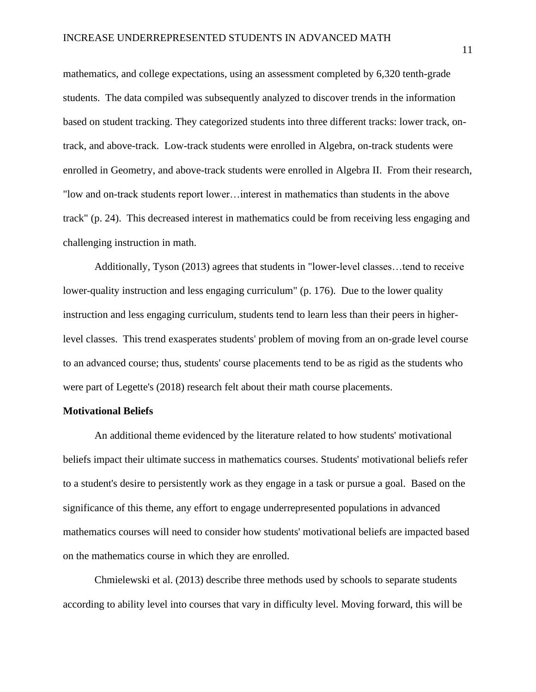mathematics, and college expectations, using an assessment completed by 6,320 tenth-grade students. The data compiled was subsequently analyzed to discover trends in the information based on student tracking. They categorized students into three different tracks: lower track, ontrack, and above-track. Low-track students were enrolled in Algebra, on-track students were enrolled in Geometry, and above-track students were enrolled in Algebra II. From their research, "low and on-track students report lower…interest in mathematics than students in the above track" (p. 24). This decreased interest in mathematics could be from receiving less engaging and challenging instruction in math.

Additionally, Tyson (2013) agrees that students in "lower-level classes…tend to receive lower-quality instruction and less engaging curriculum" (p. 176). Due to the lower quality instruction and less engaging curriculum, students tend to learn less than their peers in higherlevel classes. This trend exasperates students' problem of moving from an on-grade level course to an advanced course; thus, students' course placements tend to be as rigid as the students who were part of Legette's (2018) research felt about their math course placements.

### **Motivational Beliefs**

An additional theme evidenced by the literature related to how students' motivational beliefs impact their ultimate success in mathematics courses. Students' motivational beliefs refer to a student's desire to persistently work as they engage in a task or pursue a goal. Based on the significance of this theme, any effort to engage underrepresented populations in advanced mathematics courses will need to consider how students' motivational beliefs are impacted based on the mathematics course in which they are enrolled.

Chmielewski et al. (2013) describe three methods used by schools to separate students according to ability level into courses that vary in difficulty level. Moving forward, this will be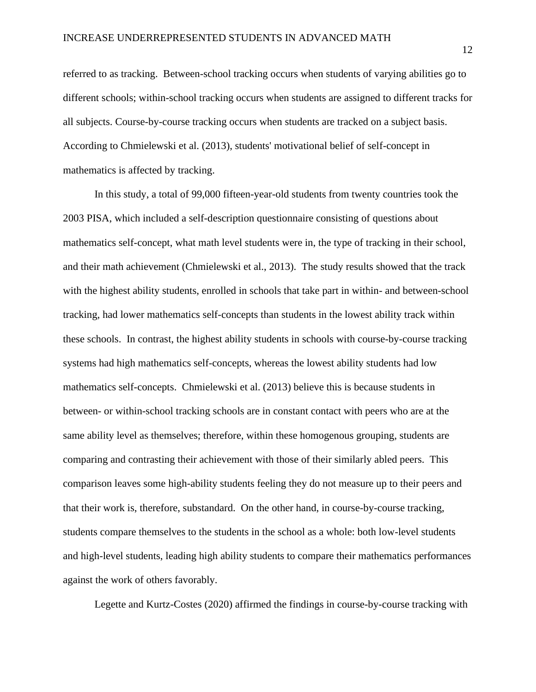referred to as tracking. Between-school tracking occurs when students of varying abilities go to different schools; within-school tracking occurs when students are assigned to different tracks for all subjects. Course-by-course tracking occurs when students are tracked on a subject basis. According to Chmielewski et al. (2013), students' motivational belief of self-concept in mathematics is affected by tracking.

In this study, a total of 99,000 fifteen-year-old students from twenty countries took the 2003 PISA, which included a self-description questionnaire consisting of questions about mathematics self-concept, what math level students were in, the type of tracking in their school, and their math achievement (Chmielewski et al., 2013). The study results showed that the track with the highest ability students, enrolled in schools that take part in within- and between-school tracking, had lower mathematics self-concepts than students in the lowest ability track within these schools. In contrast, the highest ability students in schools with course-by-course tracking systems had high mathematics self-concepts, whereas the lowest ability students had low mathematics self-concepts. Chmielewski et al. (2013) believe this is because students in between- or within-school tracking schools are in constant contact with peers who are at the same ability level as themselves; therefore, within these homogenous grouping, students are comparing and contrasting their achievement with those of their similarly abled peers. This comparison leaves some high-ability students feeling they do not measure up to their peers and that their work is, therefore, substandard. On the other hand, in course-by-course tracking, students compare themselves to the students in the school as a whole: both low-level students and high-level students, leading high ability students to compare their mathematics performances against the work of others favorably.

Legette and Kurtz-Costes (2020) affirmed the findings in course-by-course tracking with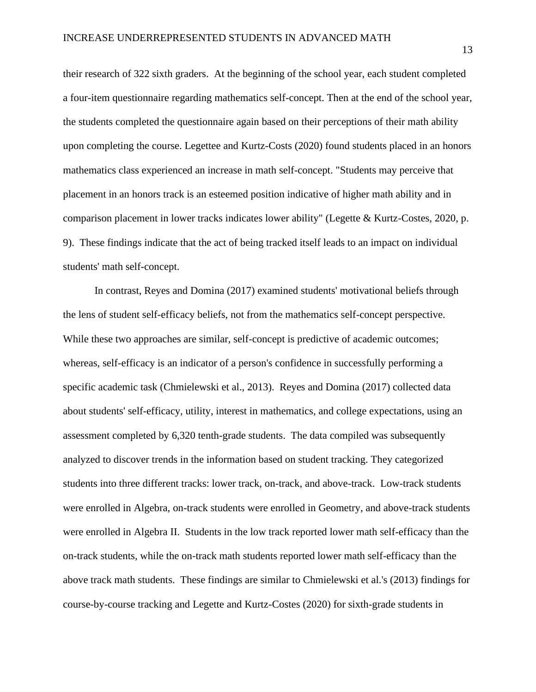their research of 322 sixth graders. At the beginning of the school year, each student completed a four-item questionnaire regarding mathematics self-concept. Then at the end of the school year, the students completed the questionnaire again based on their perceptions of their math ability upon completing the course. Legettee and Kurtz-Costs (2020) found students placed in an honors mathematics class experienced an increase in math self-concept. "Students may perceive that placement in an honors track is an esteemed position indicative of higher math ability and in comparison placement in lower tracks indicates lower ability" (Legette & Kurtz-Costes, 2020, p. 9). These findings indicate that the act of being tracked itself leads to an impact on individual students' math self-concept.

In contrast, Reyes and Domina (2017) examined students' motivational beliefs through the lens of student self-efficacy beliefs, not from the mathematics self-concept perspective. While these two approaches are similar, self-concept is predictive of academic outcomes; whereas, self-efficacy is an indicator of a person's confidence in successfully performing a specific academic task (Chmielewski et al., 2013). Reyes and Domina (2017) collected data about students' self-efficacy, utility, interest in mathematics, and college expectations, using an assessment completed by 6,320 tenth-grade students. The data compiled was subsequently analyzed to discover trends in the information based on student tracking. They categorized students into three different tracks: lower track, on-track, and above-track. Low-track students were enrolled in Algebra, on-track students were enrolled in Geometry, and above-track students were enrolled in Algebra II. Students in the low track reported lower math self-efficacy than the on-track students, while the on-track math students reported lower math self-efficacy than the above track math students. These findings are similar to Chmielewski et al.'s (2013) findings for course-by-course tracking and Legette and Kurtz-Costes (2020) for sixth-grade students in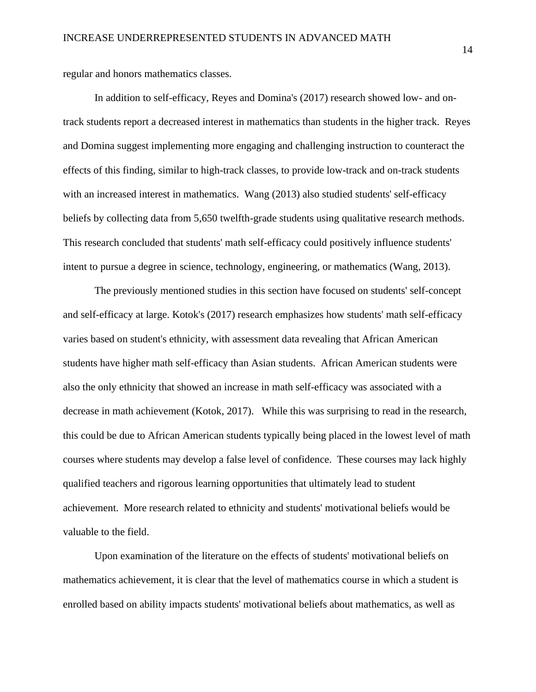regular and honors mathematics classes.

In addition to self-efficacy, Reyes and Domina's (2017) research showed low- and ontrack students report a decreased interest in mathematics than students in the higher track. Reyes and Domina suggest implementing more engaging and challenging instruction to counteract the effects of this finding, similar to high-track classes, to provide low-track and on-track students with an increased interest in mathematics. Wang (2013) also studied students' self-efficacy beliefs by collecting data from 5,650 twelfth-grade students using qualitative research methods. This research concluded that students' math self-efficacy could positively influence students' intent to pursue a degree in science, technology, engineering, or mathematics (Wang, 2013).

The previously mentioned studies in this section have focused on students' self-concept and self-efficacy at large. Kotok's (2017) research emphasizes how students' math self-efficacy varies based on student's ethnicity, with assessment data revealing that African American students have higher math self-efficacy than Asian students. African American students were also the only ethnicity that showed an increase in math self-efficacy was associated with a decrease in math achievement (Kotok, 2017). While this was surprising to read in the research, this could be due to African American students typically being placed in the lowest level of math courses where students may develop a false level of confidence. These courses may lack highly qualified teachers and rigorous learning opportunities that ultimately lead to student achievement. More research related to ethnicity and students' motivational beliefs would be valuable to the field.

Upon examination of the literature on the effects of students' motivational beliefs on mathematics achievement, it is clear that the level of mathematics course in which a student is enrolled based on ability impacts students' motivational beliefs about mathematics, as well as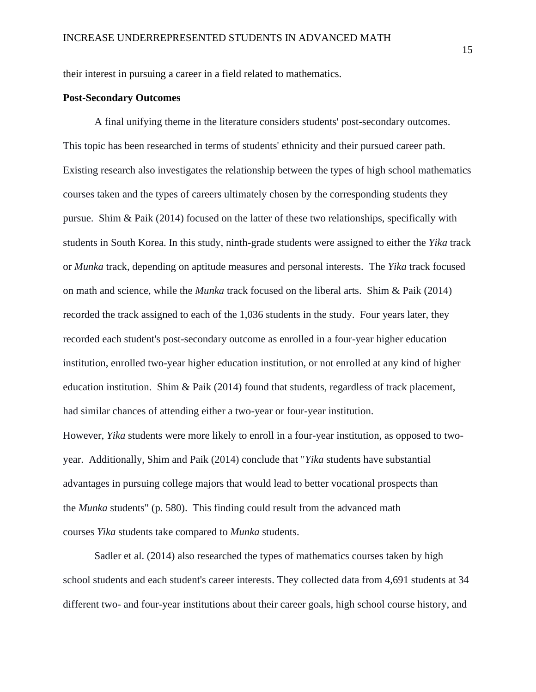their interest in pursuing a career in a field related to mathematics.

### **Post-Secondary Outcomes**

A final unifying theme in the literature considers students' post-secondary outcomes. This topic has been researched in terms of students' ethnicity and their pursued career path. Existing research also investigates the relationship between the types of high school mathematics courses taken and the types of careers ultimately chosen by the corresponding students they pursue. Shim & Paik (2014) focused on the latter of these two relationships, specifically with students in South Korea. In this study, ninth-grade students were assigned to either the *Yika* track or *Munka* track, depending on aptitude measures and personal interests. The *Yika* track focused on math and science, while the *Munka* track focused on the liberal arts. Shim & Paik (2014) recorded the track assigned to each of the 1,036 students in the study. Four years later, they recorded each student's post-secondary outcome as enrolled in a four-year higher education institution, enrolled two-year higher education institution, or not enrolled at any kind of higher education institution. Shim & Paik  $(2014)$  found that students, regardless of track placement, had similar chances of attending either a two-year or four-year institution. However, *Yika* students were more likely to enroll in a four-year institution, as opposed to twoyear. Additionally, Shim and Paik (2014) conclude that "*Yika* students have substantial advantages in pursuing college majors that would lead to better vocational prospects than the *Munka* students" (p. 580). This finding could result from the advanced math courses *Yika* students take compared to *Munka* students.

Sadler et al. (2014) also researched the types of mathematics courses taken by high school students and each student's career interests. They collected data from 4,691 students at 34 different two- and four-year institutions about their career goals, high school course history, and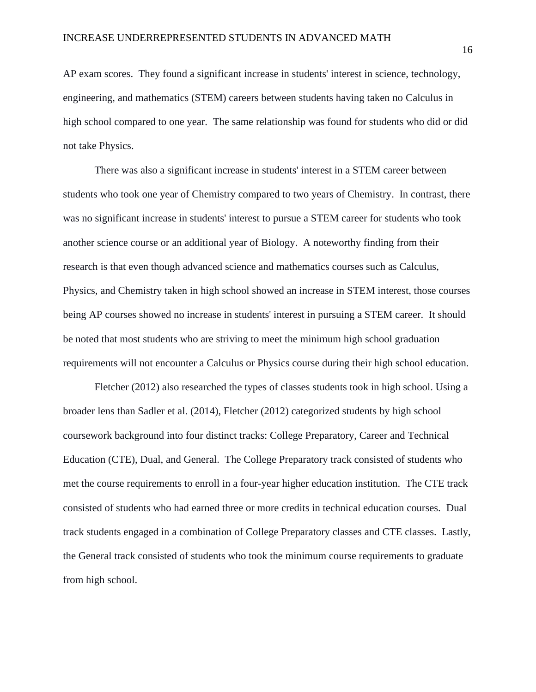AP exam scores. They found a significant increase in students' interest in science, technology, engineering, and mathematics (STEM) careers between students having taken no Calculus in high school compared to one year. The same relationship was found for students who did or did not take Physics.

There was also a significant increase in students' interest in a STEM career between students who took one year of Chemistry compared to two years of Chemistry. In contrast, there was no significant increase in students' interest to pursue a STEM career for students who took another science course or an additional year of Biology. A noteworthy finding from their research is that even though advanced science and mathematics courses such as Calculus, Physics, and Chemistry taken in high school showed an increase in STEM interest, those courses being AP courses showed no increase in students' interest in pursuing a STEM career. It should be noted that most students who are striving to meet the minimum high school graduation requirements will not encounter a Calculus or Physics course during their high school education.

Fletcher (2012) also researched the types of classes students took in high school. Using a broader lens than Sadler et al. (2014), Fletcher (2012) categorized students by high school coursework background into four distinct tracks: College Preparatory, Career and Technical Education (CTE), Dual, and General. The College Preparatory track consisted of students who met the course requirements to enroll in a four-year higher education institution. The CTE track consisted of students who had earned three or more credits in technical education courses. Dual track students engaged in a combination of College Preparatory classes and CTE classes. Lastly, the General track consisted of students who took the minimum course requirements to graduate from high school.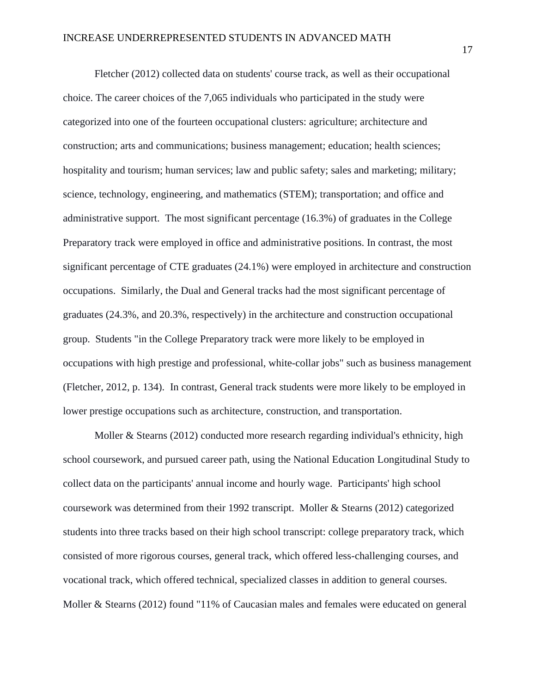Fletcher (2012) collected data on students' course track, as well as their occupational choice. The career choices of the 7,065 individuals who participated in the study were categorized into one of the fourteen occupational clusters: agriculture; architecture and construction; arts and communications; business management; education; health sciences; hospitality and tourism; human services; law and public safety; sales and marketing; military; science, technology, engineering, and mathematics (STEM); transportation; and office and administrative support. The most significant percentage (16.3%) of graduates in the College Preparatory track were employed in office and administrative positions. In contrast, the most significant percentage of CTE graduates (24.1%) were employed in architecture and construction occupations. Similarly, the Dual and General tracks had the most significant percentage of graduates (24.3%, and 20.3%, respectively) in the architecture and construction occupational group. Students "in the College Preparatory track were more likely to be employed in occupations with high prestige and professional, white-collar jobs" such as business management (Fletcher, 2012, p. 134). In contrast, General track students were more likely to be employed in lower prestige occupations such as architecture, construction, and transportation.

Moller & Stearns (2012) conducted more research regarding individual's ethnicity, high school coursework, and pursued career path, using the National Education Longitudinal Study to collect data on the participants' annual income and hourly wage. Participants' high school coursework was determined from their 1992 transcript. Moller & Stearns (2012) categorized students into three tracks based on their high school transcript: college preparatory track, which consisted of more rigorous courses, general track, which offered less-challenging courses, and vocational track, which offered technical, specialized classes in addition to general courses. Moller & Stearns (2012) found "11% of Caucasian males and females were educated on general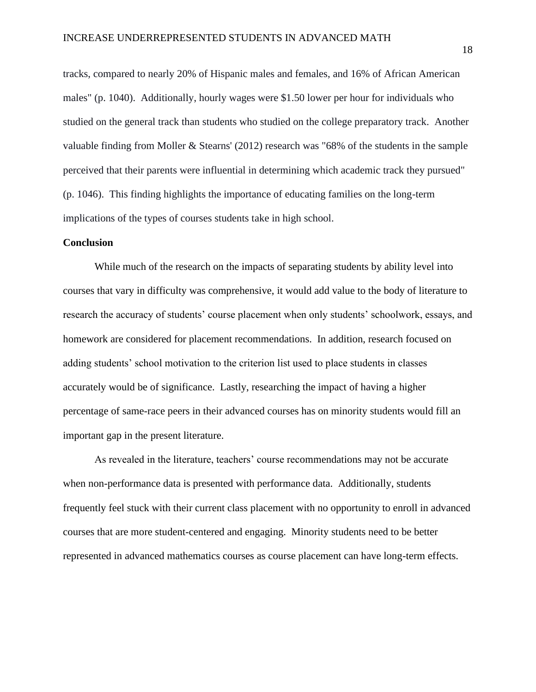tracks, compared to nearly 20% of Hispanic males and females, and 16% of African American males" (p. 1040). Additionally, hourly wages were \$1.50 lower per hour for individuals who studied on the general track than students who studied on the college preparatory track. Another valuable finding from Moller & Stearns' (2012) research was "68% of the students in the sample perceived that their parents were influential in determining which academic track they pursued" (p. 1046). This finding highlights the importance of educating families on the long-term implications of the types of courses students take in high school.

## **Conclusion**

While much of the research on the impacts of separating students by ability level into courses that vary in difficulty was comprehensive, it would add value to the body of literature to research the accuracy of students' course placement when only students' schoolwork, essays, and homework are considered for placement recommendations. In addition, research focused on adding students' school motivation to the criterion list used to place students in classes accurately would be of significance. Lastly, researching the impact of having a higher percentage of same-race peers in their advanced courses has on minority students would fill an important gap in the present literature.

As revealed in the literature, teachers' course recommendations may not be accurate when non-performance data is presented with performance data. Additionally, students frequently feel stuck with their current class placement with no opportunity to enroll in advanced courses that are more student-centered and engaging. Minority students need to be better represented in advanced mathematics courses as course placement can have long-term effects.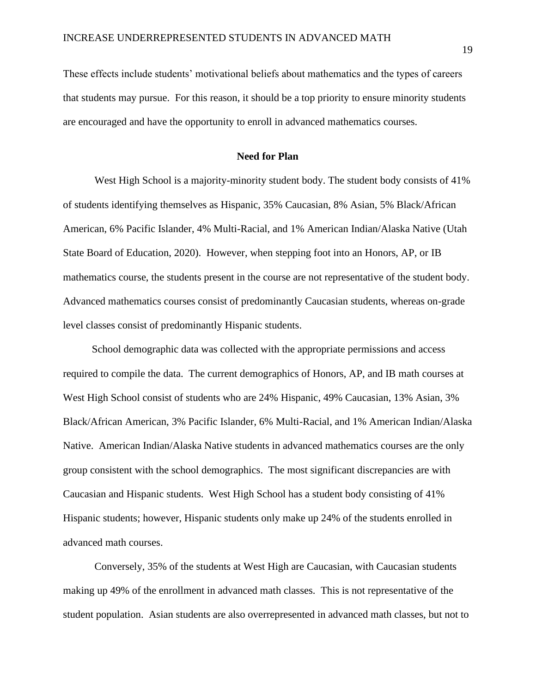These effects include students' motivational beliefs about mathematics and the types of careers that students may pursue. For this reason, it should be a top priority to ensure minority students are encouraged and have the opportunity to enroll in advanced mathematics courses.

## **Need for Plan**

West High School is a majority-minority student body. The student body consists of 41% of students identifying themselves as Hispanic, 35% Caucasian, 8% Asian, 5% Black/African American, 6% Pacific Islander, 4% Multi-Racial, and 1% American Indian/Alaska Native (Utah State Board of Education, 2020). However, when stepping foot into an Honors, AP, or IB mathematics course, the students present in the course are not representative of the student body. Advanced mathematics courses consist of predominantly Caucasian students, whereas on-grade level classes consist of predominantly Hispanic students.

 School demographic data was collected with the appropriate permissions and access required to compile the data. The current demographics of Honors, AP, and IB math courses at West High School consist of students who are 24% Hispanic, 49% Caucasian, 13% Asian, 3% Black/African American, 3% Pacific Islander, 6% Multi-Racial, and 1% American Indian/Alaska Native. American Indian/Alaska Native students in advanced mathematics courses are the only group consistent with the school demographics. The most significant discrepancies are with Caucasian and Hispanic students. West High School has a student body consisting of 41% Hispanic students; however, Hispanic students only make up 24% of the students enrolled in advanced math courses.

Conversely, 35% of the students at West High are Caucasian, with Caucasian students making up 49% of the enrollment in advanced math classes. This is not representative of the student population. Asian students are also overrepresented in advanced math classes, but not to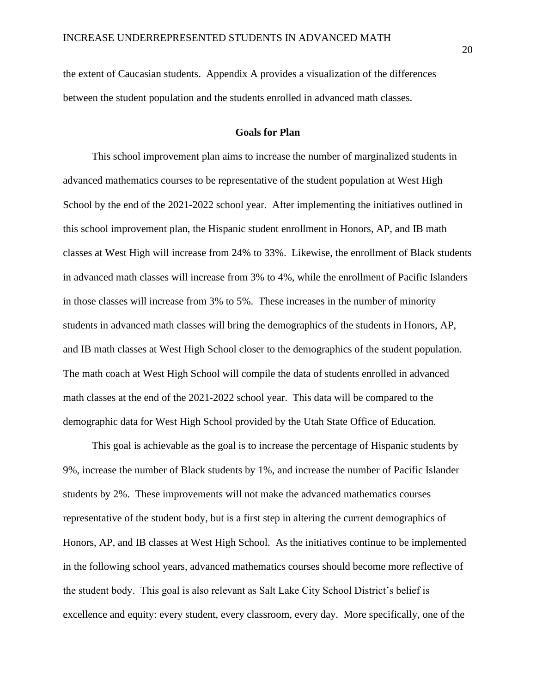the extent of Caucasian students. Appendix A provides a visualization of the differences between the student population and the students enrolled in advanced math classes.

## **Goals for Plan**

 This school improvement plan aims to increase the number of marginalized students in advanced mathematics courses to be representative of the student population at West High School by the end of the 2021-2022 school year. After implementing the initiatives outlined in this school improvement plan, the Hispanic student enrollment in Honors, AP, and IB math classes at West High will increase from 24% to 33%. Likewise, the enrollment of Black students in advanced math classes will increase from 3% to 4%, while the enrollment of Pacific Islanders in those classes will increase from 3% to 5%. These increases in the number of minority students in advanced math classes will bring the demographics of the students in Honors, AP, and IB math classes at West High School closer to the demographics of the student population. The math coach at West High School will compile the data of students enrolled in advanced math classes at the end of the 2021-2022 school year. This data will be compared to the demographic data for West High School provided by the Utah State Office of Education.

 This goal is achievable as the goal is to increase the percentage of Hispanic students by 9%, increase the number of Black students by 1%, and increase the number of Pacific Islander students by 2%. These improvements will not make the advanced mathematics courses representative of the student body, but is a first step in altering the current demographics of Honors, AP, and IB classes at West High School. As the initiatives continue to be implemented in the following school years, advanced mathematics courses should become more reflective of the student body. This goal is also relevant as Salt Lake City School District's belief is excellence and equity: every student, every classroom, every day. More specifically, one of the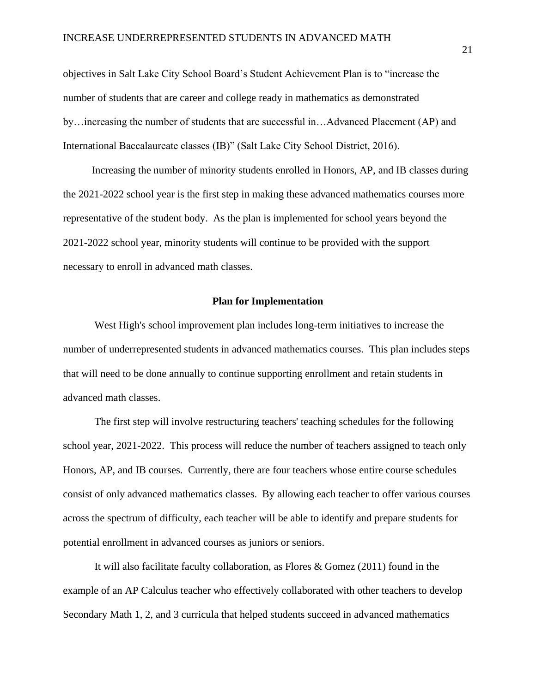objectives in Salt Lake City School Board's Student Achievement Plan is to "increase the number of students that are career and college ready in mathematics as demonstrated by…increasing the number of students that are successful in…Advanced Placement (AP) and International Baccalaureate classes (IB)" (Salt Lake City School District, 2016).

 Increasing the number of minority students enrolled in Honors, AP, and IB classes during the 2021-2022 school year is the first step in making these advanced mathematics courses more representative of the student body. As the plan is implemented for school years beyond the 2021-2022 school year, minority students will continue to be provided with the support necessary to enroll in advanced math classes.

## **Plan for Implementation**

West High's school improvement plan includes long-term initiatives to increase the number of underrepresented students in advanced mathematics courses. This plan includes steps that will need to be done annually to continue supporting enrollment and retain students in advanced math classes.

The first step will involve restructuring teachers' teaching schedules for the following school year, 2021-2022. This process will reduce the number of teachers assigned to teach only Honors, AP, and IB courses. Currently, there are four teachers whose entire course schedules consist of only advanced mathematics classes. By allowing each teacher to offer various courses across the spectrum of difficulty, each teacher will be able to identify and prepare students for potential enrollment in advanced courses as juniors or seniors.

It will also facilitate faculty collaboration, as Flores & Gomez (2011) found in the example of an AP Calculus teacher who effectively collaborated with other teachers to develop Secondary Math 1, 2, and 3 curricula that helped students succeed in advanced mathematics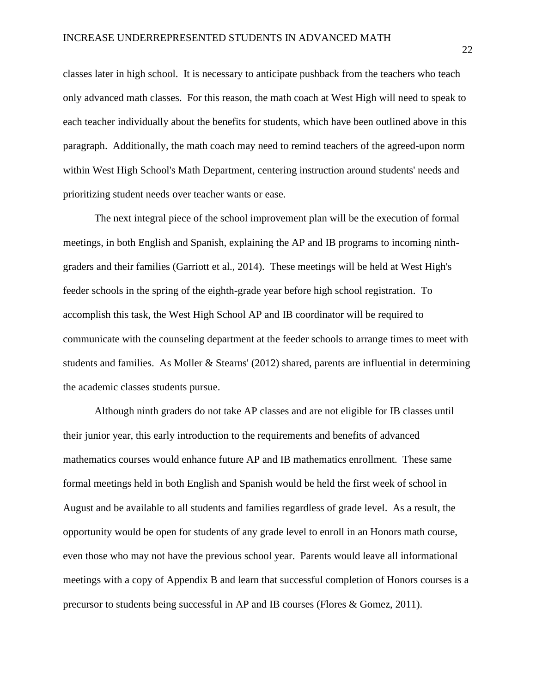classes later in high school. It is necessary to anticipate pushback from the teachers who teach only advanced math classes. For this reason, the math coach at West High will need to speak to each teacher individually about the benefits for students, which have been outlined above in this paragraph. Additionally, the math coach may need to remind teachers of the agreed-upon norm within West High School's Math Department, centering instruction around students' needs and prioritizing student needs over teacher wants or ease.

The next integral piece of the school improvement plan will be the execution of formal meetings, in both English and Spanish, explaining the AP and IB programs to incoming ninthgraders and their families (Garriott et al., 2014). These meetings will be held at West High's feeder schools in the spring of the eighth-grade year before high school registration. To accomplish this task, the West High School AP and IB coordinator will be required to communicate with the counseling department at the feeder schools to arrange times to meet with students and families. As Moller & Stearns' (2012) shared, parents are influential in determining the academic classes students pursue.

Although ninth graders do not take AP classes and are not eligible for IB classes until their junior year, this early introduction to the requirements and benefits of advanced mathematics courses would enhance future AP and IB mathematics enrollment. These same formal meetings held in both English and Spanish would be held the first week of school in August and be available to all students and families regardless of grade level. As a result, the opportunity would be open for students of any grade level to enroll in an Honors math course, even those who may not have the previous school year. Parents would leave all informational meetings with a copy of Appendix B and learn that successful completion of Honors courses is a precursor to students being successful in AP and IB courses (Flores & Gomez, 2011).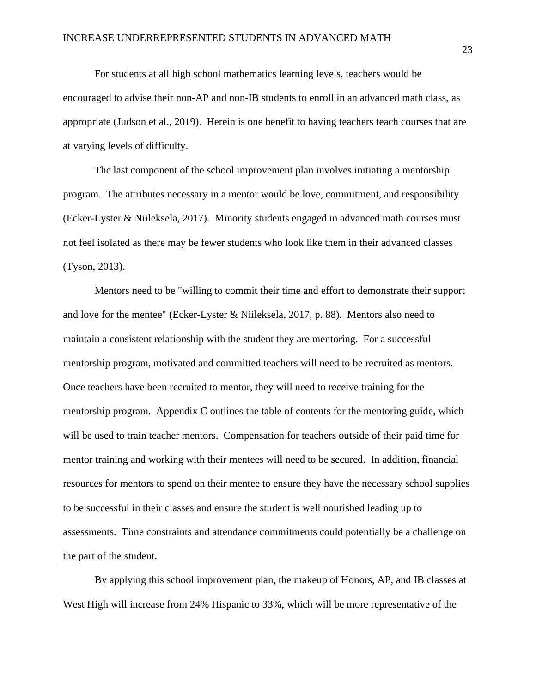For students at all high school mathematics learning levels, teachers would be encouraged to advise their non-AP and non-IB students to enroll in an advanced math class, as appropriate (Judson et al., 2019). Herein is one benefit to having teachers teach courses that are at varying levels of difficulty.

The last component of the school improvement plan involves initiating a mentorship program. The attributes necessary in a mentor would be love, commitment, and responsibility (Ecker-Lyster & Niileksela, 2017). Minority students engaged in advanced math courses must not feel isolated as there may be fewer students who look like them in their advanced classes (Tyson, 2013).

Mentors need to be "willing to commit their time and effort to demonstrate their support and love for the mentee" (Ecker-Lyster & Niileksela, 2017, p. 88). Mentors also need to maintain a consistent relationship with the student they are mentoring. For a successful mentorship program, motivated and committed teachers will need to be recruited as mentors. Once teachers have been recruited to mentor, they will need to receive training for the mentorship program. Appendix C outlines the table of contents for the mentoring guide, which will be used to train teacher mentors. Compensation for teachers outside of their paid time for mentor training and working with their mentees will need to be secured. In addition, financial resources for mentors to spend on their mentee to ensure they have the necessary school supplies to be successful in their classes and ensure the student is well nourished leading up to assessments. Time constraints and attendance commitments could potentially be a challenge on the part of the student.

By applying this school improvement plan, the makeup of Honors, AP, and IB classes at West High will increase from 24% Hispanic to 33%, which will be more representative of the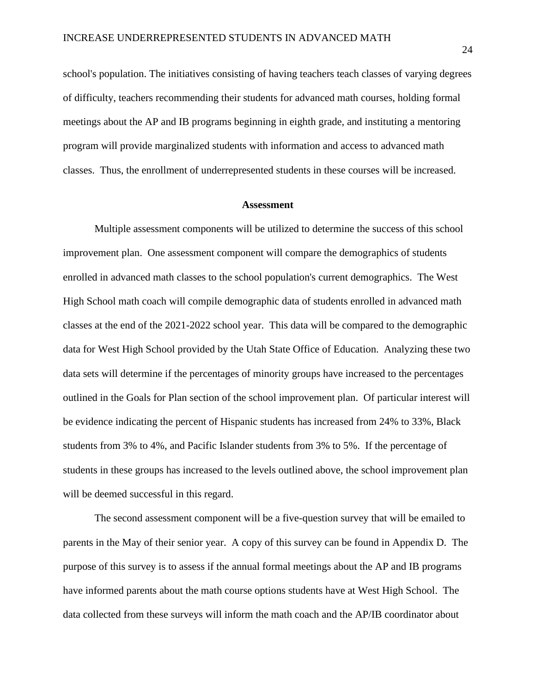school's population. The initiatives consisting of having teachers teach classes of varying degrees of difficulty, teachers recommending their students for advanced math courses, holding formal meetings about the AP and IB programs beginning in eighth grade, and instituting a mentoring program will provide marginalized students with information and access to advanced math classes. Thus, the enrollment of underrepresented students in these courses will be increased.

#### **Assessment**

Multiple assessment components will be utilized to determine the success of this school improvement plan. One assessment component will compare the demographics of students enrolled in advanced math classes to the school population's current demographics. The West High School math coach will compile demographic data of students enrolled in advanced math classes at the end of the 2021-2022 school year. This data will be compared to the demographic data for West High School provided by the Utah State Office of Education. Analyzing these two data sets will determine if the percentages of minority groups have increased to the percentages outlined in the Goals for Plan section of the school improvement plan. Of particular interest will be evidence indicating the percent of Hispanic students has increased from 24% to 33%, Black students from 3% to 4%, and Pacific Islander students from 3% to 5%. If the percentage of students in these groups has increased to the levels outlined above, the school improvement plan will be deemed successful in this regard.

The second assessment component will be a five-question survey that will be emailed to parents in the May of their senior year. A copy of this survey can be found in Appendix D. The purpose of this survey is to assess if the annual formal meetings about the AP and IB programs have informed parents about the math course options students have at West High School. The data collected from these surveys will inform the math coach and the AP/IB coordinator about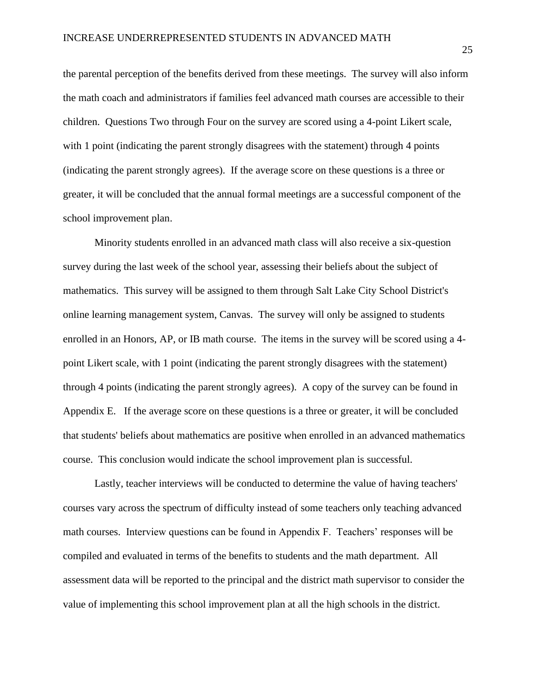the parental perception of the benefits derived from these meetings. The survey will also inform the math coach and administrators if families feel advanced math courses are accessible to their children. Questions Two through Four on the survey are scored using a 4-point Likert scale, with 1 point (indicating the parent strongly disagrees with the statement) through 4 points (indicating the parent strongly agrees). If the average score on these questions is a three or greater, it will be concluded that the annual formal meetings are a successful component of the school improvement plan.

Minority students enrolled in an advanced math class will also receive a six-question survey during the last week of the school year, assessing their beliefs about the subject of mathematics. This survey will be assigned to them through Salt Lake City School District's online learning management system, Canvas. The survey will only be assigned to students enrolled in an Honors, AP, or IB math course. The items in the survey will be scored using a 4 point Likert scale, with 1 point (indicating the parent strongly disagrees with the statement) through 4 points (indicating the parent strongly agrees). A copy of the survey can be found in Appendix E. If the average score on these questions is a three or greater, it will be concluded that students' beliefs about mathematics are positive when enrolled in an advanced mathematics course. This conclusion would indicate the school improvement plan is successful.

Lastly, teacher interviews will be conducted to determine the value of having teachers' courses vary across the spectrum of difficulty instead of some teachers only teaching advanced math courses. Interview questions can be found in Appendix F. Teachers' responses will be compiled and evaluated in terms of the benefits to students and the math department. All assessment data will be reported to the principal and the district math supervisor to consider the value of implementing this school improvement plan at all the high schools in the district.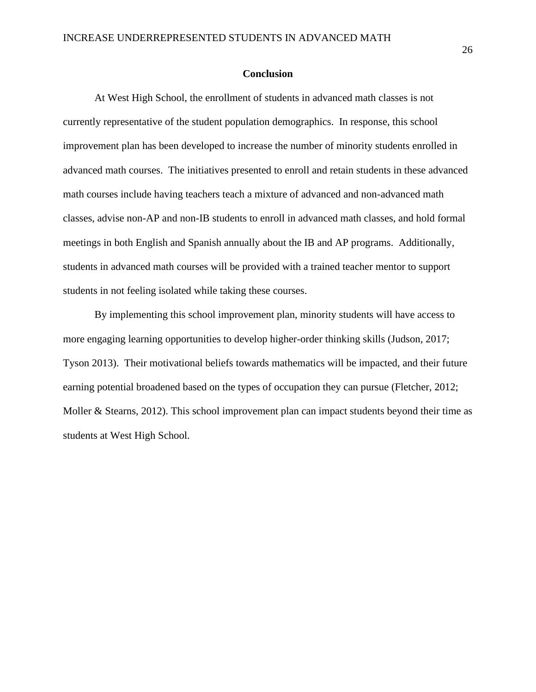## **Conclusion**

At West High School, the enrollment of students in advanced math classes is not currently representative of the student population demographics. In response, this school improvement plan has been developed to increase the number of minority students enrolled in advanced math courses. The initiatives presented to enroll and retain students in these advanced math courses include having teachers teach a mixture of advanced and non-advanced math classes, advise non-AP and non-IB students to enroll in advanced math classes, and hold formal meetings in both English and Spanish annually about the IB and AP programs. Additionally, students in advanced math courses will be provided with a trained teacher mentor to support students in not feeling isolated while taking these courses.

By implementing this school improvement plan, minority students will have access to more engaging learning opportunities to develop higher-order thinking skills (Judson, 2017; Tyson 2013). Their motivational beliefs towards mathematics will be impacted, and their future earning potential broadened based on the types of occupation they can pursue (Fletcher, 2012; Moller & Stearns, 2012). This school improvement plan can impact students beyond their time as students at West High School.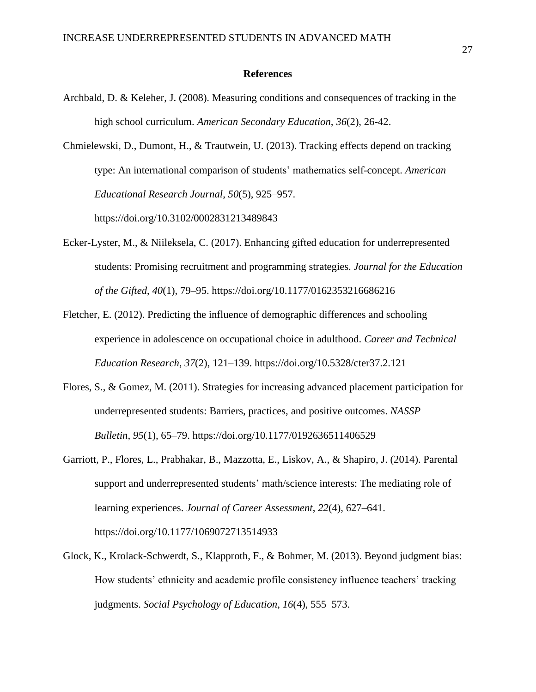### **References**

Archbald, D. & Keleher, J. (2008). Measuring conditions and consequences of tracking in the high school curriculum. *American Secondary Education, 36*(2), 26-42.

Chmielewski, D., Dumont, H., & Trautwein, U. (2013). Tracking effects depend on tracking type: An international comparison of students' mathematics self-concept. *American Educational Research Journal*, *50*(5), 925–957.

https://doi.org/10.3102/0002831213489843

- Ecker-Lyster, M., & Niileksela, C. (2017). Enhancing gifted education for underrepresented students: Promising recruitment and programming strategies. *Journal for the Education of the Gifted*, *40*(1), 79–95. https://doi.org/10.1177/0162353216686216
- Fletcher, E. (2012). Predicting the influence of demographic differences and schooling experience in adolescence on occupational choice in adulthood. *Career and Technical Education Research*, *37*(2), 121–139. https://doi.org/10.5328/cter37.2.121
- Flores, S., & Gomez, M. (2011). Strategies for increasing advanced placement participation for underrepresented students: Barriers, practices, and positive outcomes. *NASSP Bulletin*, *95*(1), 65–79. https://doi.org/10.1177/0192636511406529
- Garriott, P., Flores, L., Prabhakar, B., Mazzotta, E., Liskov, A., & Shapiro, J. (2014). Parental support and underrepresented students' math/science interests: The mediating role of learning experiences. *Journal of Career Assessment*, *22*(4), 627–641. https://doi.org/10.1177/1069072713514933
- Glock, K., Krolack-Schwerdt, S., Klapproth, F., & Bohmer, M. (2013). Beyond judgment bias: How students' ethnicity and academic profile consistency influence teachers' tracking judgments. *Social Psychology of Education*, *16*(4), 555–573.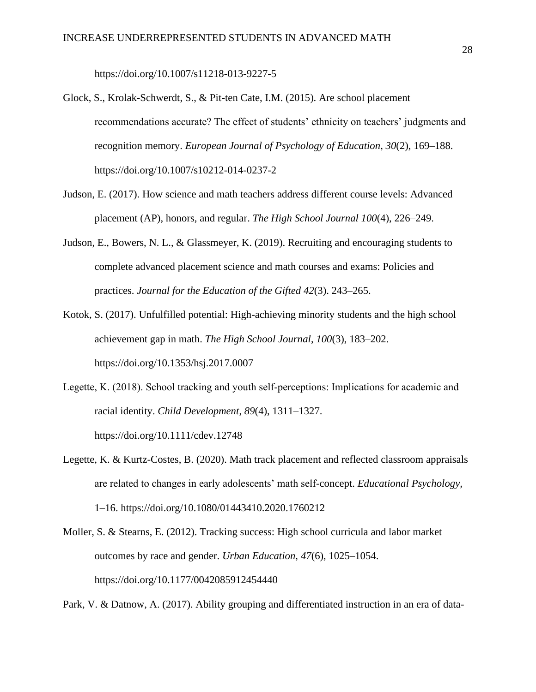https://doi.org/10.1007/s11218-013-9227-5

- Glock, S., Krolak-Schwerdt, S., & Pit-ten Cate, I.M. (2015). Are school placement recommendations accurate? The effect of students' ethnicity on teachers' judgments and recognition memory. *European Journal of Psychology of Education*, *30*(2), 169–188. https://doi.org/10.1007/s10212-014-0237-2
- Judson, E. (2017). How science and math teachers address different course levels: Advanced placement (AP), honors, and regular. *The High School Journal 100*(4), 226–249.
- Judson, E., Bowers, N. L., & Glassmeyer, K. (2019). Recruiting and encouraging students to complete advanced placement science and math courses and exams: Policies and practices. *Journal for the Education of the Gifted 42*(3). 243–265.
- Kotok, S. (2017). Unfulfilled potential: High-achieving minority students and the high school achievement gap in math. *The High School Journal*, *100*(3), 183–202. https://doi.org/10.1353/hsj.2017.0007
- Legette, K. (2018). School tracking and youth self-perceptions: Implications for academic and racial identity. *Child Development*, *89*(4), 1311–1327. https://doi.org/10.1111/cdev.12748
- Legette, K. & Kurtz-Costes, B. (2020). Math track placement and reflected classroom appraisals are related to changes in early adolescents' math self-concept. *Educational Psychology,*  1–16. https://doi.org/10.1080/01443410.2020.1760212
- Moller, S. & Stearns, E. (2012). Tracking success: High school curricula and labor market outcomes by race and gender. *Urban Education*, *47*(6), 1025–1054. https://doi.org/10.1177/0042085912454440

Park, V. & Datnow, A. (2017). Ability grouping and differentiated instruction in an era of data-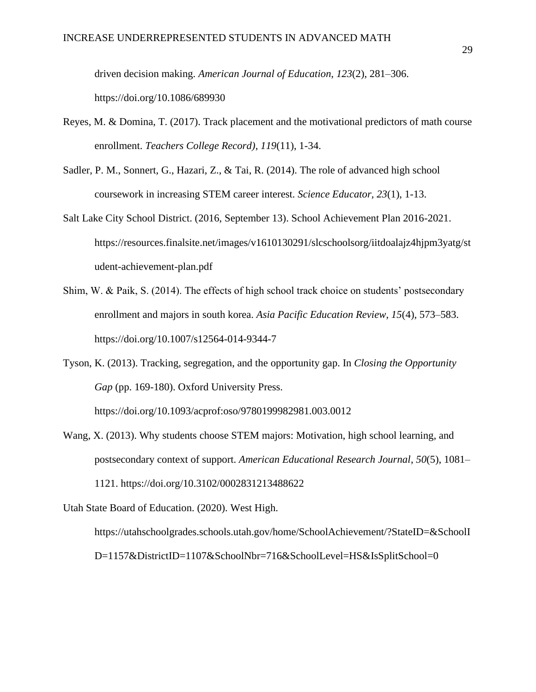driven decision making. *American Journal of Education*, *123*(2), 281–306. https://doi.org/10.1086/689930

- Reyes, M. & Domina, T. (2017). Track placement and the motivational predictors of math course enrollment. *Teachers College Record)*, *119*(11), 1-34.
- Sadler, P. M., Sonnert, G., Hazari, Z., & Tai, R. (2014). The role of advanced high school coursework in increasing STEM career interest. *Science Educator, 23*(1), 1-13.
- Salt Lake City School District. (2016, September 13). School Achievement Plan 2016-2021. https://resources.finalsite.net/images/v1610130291/slcschoolsorg/iitdoalajz4hjpm3yatg/st udent-achievement-plan.pdf
- Shim, W. & Paik, S. (2014). The effects of high school track choice on students' postsecondary enrollment and majors in south korea. *Asia Pacific Education Review*, *15*(4), 573–583. https://doi.org/10.1007/s12564-014-9344-7

Tyson, K. (2013). Tracking, segregation, and the opportunity gap. In *Closing the Opportunity Gap* (pp. 169-180). Oxford University Press. https://doi.org/10.1093/acprof:oso/9780199982981.003.0012

Wang, X. (2013). Why students choose STEM majors: Motivation, high school learning, and postsecondary context of support. *American Educational Research Journal*, *50*(5), 1081– 1121. https://doi.org/10.3102/0002831213488622

Utah State Board of Education. (2020). West High.

https://utahschoolgrades.schools.utah.gov/home/SchoolAchievement/?StateID=&SchoolI D=1157&DistrictID=1107&SchoolNbr=716&SchoolLevel=HS&IsSplitSchool=0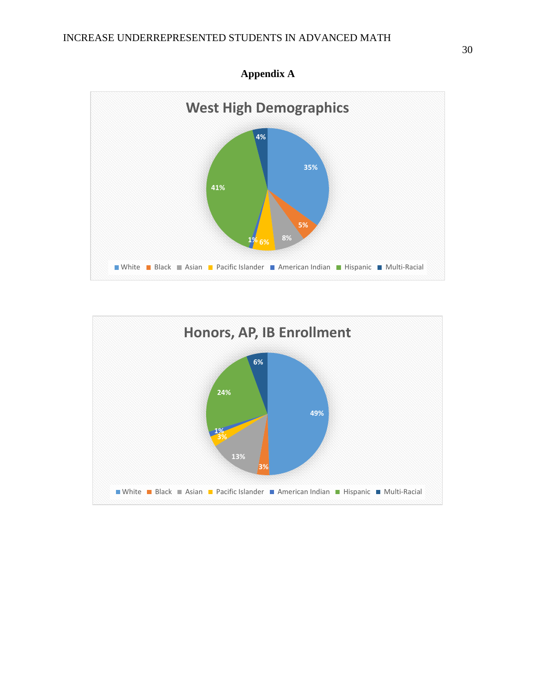



**Appendix A**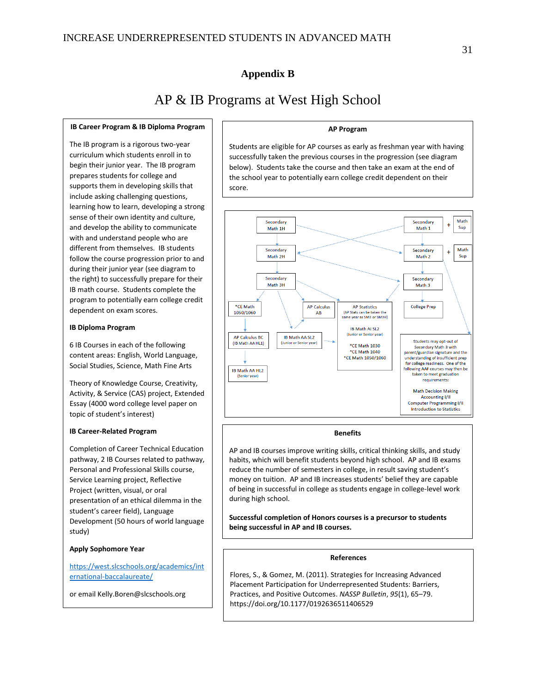## **Appendix B**

## AP & IB Programs at West High School

#### **IB Career Program & IB Diploma Program**

The IB program is a rigorous two-year curriculum which students enroll in to begin their junior year. The IB program prepares students for college and supports them in developing skills that include asking challenging questions, learning how to learn, developing a strong sense of their own identity and culture, and develop the ability to communicate with and understand people who are different from themselves. IB students follow the course progression prior to and during their junior year (see diagram to the right) to successfully prepare for their IB math course. Students complete the program to potentially earn college credit dependent on exam scores.

#### **IB Diploma Program**

6 IB Courses in each of the following content areas: English, World Language, Social Studies, Science, Math Fine Arts

Theory of Knowledge Course, Creativity, Activity, & Service (CAS) project, Extended Essay (4000 word college level paper on topic of student's interest)

#### **IB Career-Related Program**

Completion of Career Technical Education pathway, 2 IB Courses related to pathway, Personal and Professional Skills course, Service Learning project, Reflective Project (written, visual, or oral presentation of an ethical dilemma in the student's career field), Language Development (50 hours of world language study)

#### **Apply Sophomore Year**

[https://west.slcschools.org/academics/int](https://west.slcschools.org/academics/international-baccalaureate/) [ernational-baccalaureate/](https://west.slcschools.org/academics/international-baccalaureate/)

or email Kelly.Boren@slcschools.org

### **AP Program**

Students are eligible for AP courses as early as freshman year with having successfully taken the previous courses in the progression (see diagram below). Students take the course and then take an exam at the end of the school year to potentially earn college credit dependent on their score.



#### **Benefits**

AP and IB courses improve writing skills, critical thinking skills, and study habits, which will benefit students beyond high school. AP and IB exams reduce the number of semesters in college, in result saving student's money on tuition. AP and IB increases students' belief they are capable of being in successful in college as students engage in college-level work during high school.

**Successful completion of Honors courses is a precursor to students being successful in AP and IB courses.**

#### **References**

Flores, S., & Gomez, M. (2011). Strategies for Increasing Advanced Placement Participation for Underrepresented Students: Barriers, Practices, and Positive Outcomes. *NASSP Bulletin*, *95*(1), 65–79. https://doi.org/10.1177/0192636511406529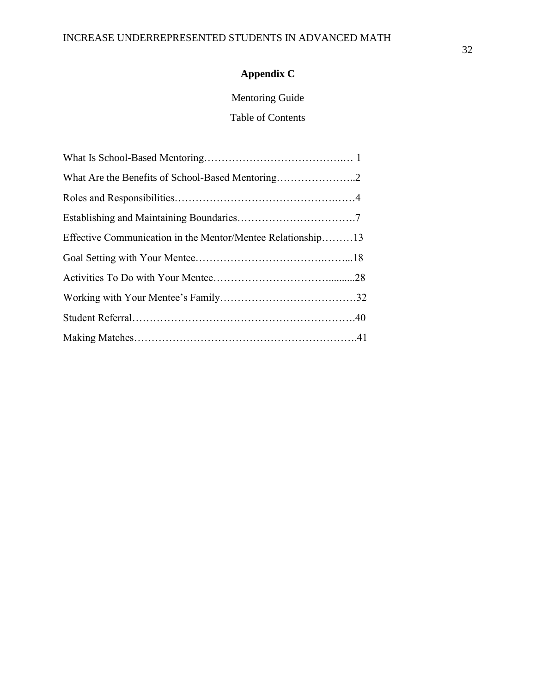## **Appendix C**

## Mentoring Guide

Table of Contents

| Effective Communication in the Mentor/Mentee Relationship13 |
|-------------------------------------------------------------|
|                                                             |
|                                                             |
|                                                             |
|                                                             |
|                                                             |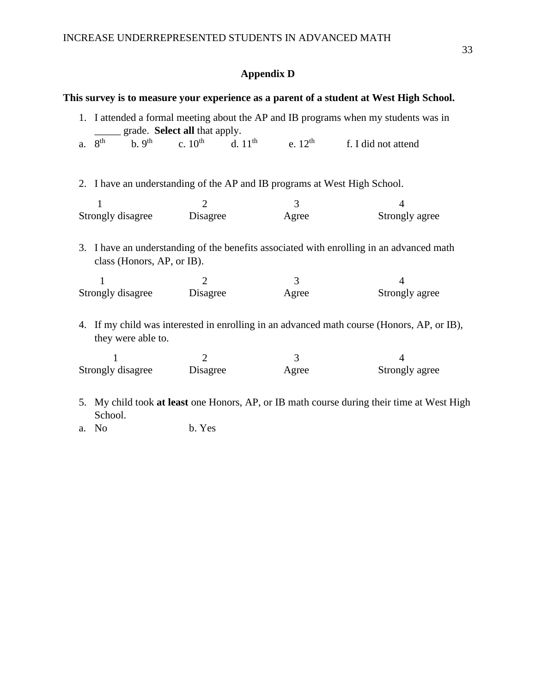## **Appendix D**

|    | 1. I attended a formal meeting about the AP and IB programs when my students was in<br>grade. Select all that apply. |               |                                                                                |                                                                                                                                                                                        |  |  |  |
|----|----------------------------------------------------------------------------------------------------------------------|---------------|--------------------------------------------------------------------------------|----------------------------------------------------------------------------------------------------------------------------------------------------------------------------------------|--|--|--|
| a. | 8 <sup>th</sup>                                                                                                      |               | b. 9 <sup>th</sup> c. 10 <sup>th</sup> d. 11 <sup>th</sup> e. 12 <sup>th</sup> | f. I did not attend                                                                                                                                                                    |  |  |  |
|    | 2. I have an understanding of the AP and IB programs at West High School.                                            |               |                                                                                |                                                                                                                                                                                        |  |  |  |
|    | 1                                                                                                                    | 2             | 3                                                                              | 4                                                                                                                                                                                      |  |  |  |
|    |                                                                                                                      |               |                                                                                | Strongly agree                                                                                                                                                                         |  |  |  |
|    | Strongly disagree                                                                                                    | Disagree      | Agree                                                                          |                                                                                                                                                                                        |  |  |  |
|    | class (Honors, AP, or IB).                                                                                           |               |                                                                                |                                                                                                                                                                                        |  |  |  |
|    | 1<br>Strongly disagree                                                                                               | 2<br>Disagree | 3<br>Agree                                                                     | 4<br>Strongly agree                                                                                                                                                                    |  |  |  |
|    | they were able to.                                                                                                   |               |                                                                                | 3. I have an understanding of the benefits associated with enrolling in an advanced math<br>4. If my child was interested in enrolling in an advanced math course (Honors, AP, or IB), |  |  |  |
|    | 1                                                                                                                    | 2             | 3                                                                              | $\overline{\mathcal{A}}$                                                                                                                                                               |  |  |  |

a. No b. Yes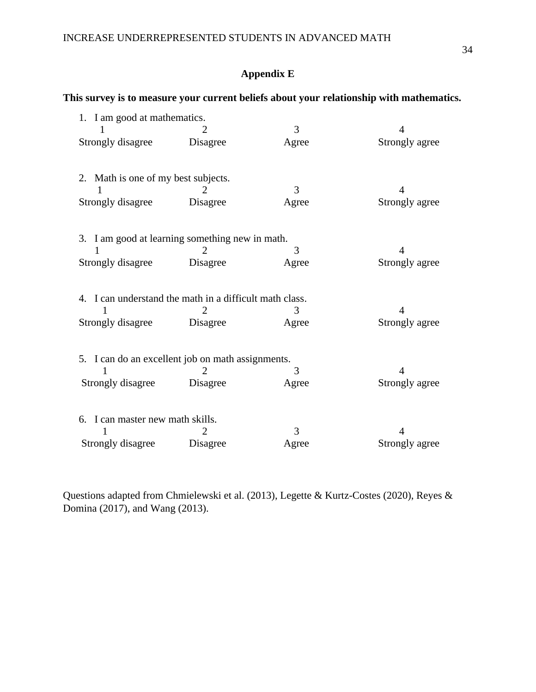## INCREASE UNDERREPRESENTED STUDENTS IN ADVANCED MATH

## **Appendix E**

## **This survey is to measure your current beliefs about your relationship with mathematics.**

|                                                         | 1. I am good at mathematics. |       |                |  |  |
|---------------------------------------------------------|------------------------------|-------|----------------|--|--|
|                                                         |                              | 3     | 4              |  |  |
| Strongly disagree                                       | Disagree                     | Agree | Strongly agree |  |  |
| 2. Math is one of my best subjects.                     |                              |       |                |  |  |
|                                                         |                              | 3     | 4              |  |  |
| Strongly disagree                                       | Disagree                     | Agree | Strongly agree |  |  |
| 3. I am good at learning something new in math.         |                              |       |                |  |  |
|                                                         | $\mathcal{D}_{\cdot}$        | 3     | 4              |  |  |
| Strongly disagree                                       | Disagree                     | Agree | Strongly agree |  |  |
| 4. I can understand the math in a difficult math class. |                              |       |                |  |  |
| 1                                                       | 2                            | 3     | 4              |  |  |
| Strongly disagree                                       | Disagree                     | Agree | Strongly agree |  |  |
| 5. I can do an excellent job on math assignments.       |                              |       |                |  |  |
|                                                         |                              | 3     | 4              |  |  |
| Strongly disagree                                       | Disagree                     | Agree | Strongly agree |  |  |
| 6. I can master new math skills.                        |                              |       |                |  |  |
|                                                         |                              | 3     | 4              |  |  |
| Strongly disagree                                       | Disagree                     | Agree | Strongly agree |  |  |

Questions adapted from Chmielewski et al. (2013), Legette & Kurtz-Costes (2020), Reyes & Domina (2017), and Wang (2013).